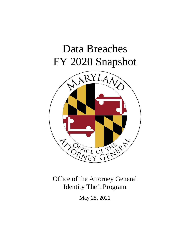# Data Breaches FY 2020 Snapshot



Office of the Attorney General Identity Theft Program

May 25, 2021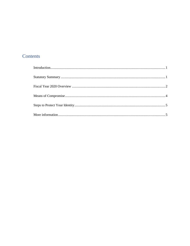## Contents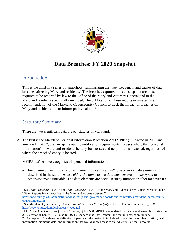

## **Data Breaches: FY 2020 Snapshot**

#### <span id="page-2-0"></span>Introduction

This is the third in a series of 'snapshots' summarizing the type, frequency, and causes of data breaches affecting Maryland residents.<sup>1</sup> The breaches captured in each snapshot are those required to be reported by law to the Office of the Maryland Attorney General and to the Maryland residents specifically involved. The publication of these reports originated in a recommendation of the Maryland Cybersecurity Council to track the impact of breaches on Maryland residents and to inform policymaking.<sup>2</sup>

#### <span id="page-2-1"></span>Statutory Summary

There are two significant data breach statutes in Maryland.

A. The first is the Maryland Personal Information Protection Act (MPIPA).<sup>3</sup> Enacted in 2008 and amended in 2017, the law spells out the notification requirements in cases where the "personal information" of Maryland residents held by businesses and nonprofits is breached, regardless of where the breached entity is located.

MPIPA defines two categories of "personal information":

• First name or first initial and last name *that are linked with* one or more data elements described in the statute *where either the name or the data element are not encrypted* or otherwise made unusable. The data elements are social security number or other taxpayer ID,

<sup>&</sup>lt;sup>1</sup> See *Data Breaches: FY 2016* and *Data Breaches: FY 2018* at the Maryland Cybersecurity Council website under "Other Reports from the Office of the Maryland Attorney General", [https://www.umgc.edu/administration/leadership-and-governance/boards-and-committees/maryland-cybersecurity](https://www.umgc.edu/administration/leadership-and-governance/boards-and-committees/maryland-cybersecurity-council/index.cfm)[council/index.cfm](https://www.umgc.edu/administration/leadership-and-governance/boards-and-committees/maryland-cybersecurity-council/index.cfm) 

<sup>2</sup> See Maryland Cyber Security Council, *Initial Activities Report (July 1, 2016)*, Recommendation 6 (p. 13), <http://www.umuc.edu/mdcybersecuritycouncil>

<sup>&</sup>lt;sup>3</sup> Md. Code Ann. Com. Law § 14-3501 through §14-3508. MPIPA was updated by the General Assembly during the 2017 session (Chapter 518/House Bill 974). Changes made by Chapter 518 went into effect on January 1,

<sup>2018.</sup>Chapter 518 updates the definition of personal information to include additional forms of identification, health information, biometric data, and information that would allow access to an individual's e-mail account.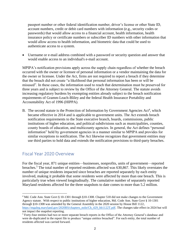passport number or other federal identification number, driver's license or other State ID, account numbers, credit or debit card numbers with information (e.g., security codes or passwords) that would allow access to a financial account, health information, health insurance policy or certificate numbers or subscriber ID numbers with other information that would allow access to health information, and biometric data that could be used to authenticate access to a system.

• Username or e-mail address combined with a password or security question and answer that would enable access to an individual's e-mail account.

MPIPA's notification provisions apply across the supply chain regardless of whether the breach occurred with the owner or licensee of personal information or a vendor maintaining the data for the owner or licensee. Under the Act, firms are not required to report a breach if they determine that the breach did not create "a likelihood that personal information has been or will be misused". In these cases, the information used to reach that determination must be preserved for three years and is subject to review by the Office of the Attorney General. The statute avoids increasing regulatory burdens by exempting entities already subject to the breach notification requirements of Gramm-Leach-Bliley and the federal Health Insurance Portability and Accountability Act of 1996 (HIPPA).

B. The second statute is the Protection of Information by Government Agencies Act<sup>4</sup>, which became effective in 2014 and is applicable to government units. The Act extends breach notification requirements to the State executive branch, boards, commissions, public institutions of higher education, and political subdivisions such as municipalities, counties, county boards of education, and multicounty agencies. In general, the Act defines "personal information" held by government agencies in a manner similar to MPIPA and provides for similar exceptions to notification. The Act likewise recognizes that government entities may use third parties to hold data and extends the notification provisions to third-party breaches.

#### <span id="page-3-0"></span>Fiscal Year 2020 Overview

For the fiscal year, 871 unique entities—businesses, nonprofits, units of government—reported breaches.<sup>5</sup> The total number of reported residents affected was 630,867. This likely overstates the number of unique residents impacted since breaches are reported separately by each entity involved, making it probable that some residents were affected by more than one breach. This is particularly true when viewed longitudinally. The cumulative number of separately reported Maryland residents affected for the three snapshots to date comes to more than 5.2 million.

<sup>&</sup>lt;sup>4</sup> Md. Code Ann. State Govt § 10-1301 through § 10-1308. Chapter 518 did not make changes to the Government Agency statute. With respect to public institutions of higher education, Md. Code Ann. State Govt § 10-1301 through §10-1308 was amended by the General Assembly in the 2020 session by House Bill 1122, [https://mgaleg.maryland.gov/2020RS/chapters\\_noln/Ch\\_429\\_hb1122T.pdf.](https://mgaleg.maryland.gov/2020RS/chapters_noln/Ch_429_hb1122T.pdf) The changes take effect in 2024 but will not impact the snapshot reporting.

<sup>5</sup> Forty-four entities had two or more separate breach reports in the Office of the Attorney General's database and were de-duplicated in the report file to produce "unique entities breached". For each entity, the total number of residents affected was carried forward.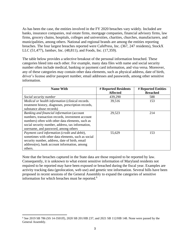As has been the case, the entities involved in the FY 2020 breaches vary widely. Included are banks, insurance companies, real estate firms, mortgage companies, financial advisory firms, law firms, grocery chains, hospitals, colleges and universities, charities, churches, manufacturers, and municipalities, among others. National and regional brands are among the entities reporting breaches. The four largest breaches reported were CafePress, Inc. (367, 247 residents), StockX LLC (51,477), Jambav, Inc. (48,811), and Foods, Inc. (17,359).

The table below provides a selective breakout of the personal information breached. These categories bleed into each other. For example, many data files with name and social security number often include medical, banking or payment card information, and visa versa. Moreover, any of these categories may contain other data elements, such as physical address, date of birth, driver's license and/or passport number, email addresses and passwords, among other sensitive information.

| <b>Name With</b>                                                                                                                                                                                                                                | # Reported Residents<br><b>Affected</b> | # Reported Entities<br><b>Breached</b> |
|-------------------------------------------------------------------------------------------------------------------------------------------------------------------------------------------------------------------------------------------------|-----------------------------------------|----------------------------------------|
| Social security number                                                                                                                                                                                                                          | 439,290                                 | 588                                    |
| Medical or health information (clinical records.<br>treatment history, diagnoses, prescription records,<br>substance abuse records)                                                                                                             | 39,516                                  | 153                                    |
| Banking and financial information (account<br>numbers, transaction records, investment account<br>numbers) often with other data elements, such as<br>social security number, address, tax information,<br>username, and password, among others | 29,523                                  | 214                                    |
| Payment card information (credit and debit),<br>sometimes with other data elements, such as social<br>security number, address, date of birth, email<br>address(es), bank account information, among<br>others.                                 | 55,629                                  | 153                                    |

Note that the breaches captured in the State data are those required to be reported by law. Consequently, it is unknown to what extent sensitive information of Maryland residents not required to be reported may have been exposed or breached during the fiscal year. Examples are activity tracking data (geolocation, web use) and genetic test information. Several bills have been proposed in recent sessions of the General Assembly to expand the categories of sensitive information for which breaches must be reported.<sup>6</sup>

<sup>6</sup> See 2019 SB 786 (SS 14-3501ff), 2020 SB 201/HB 237, and 2021 SB 112/HB 148. None were passed by the General Assembly.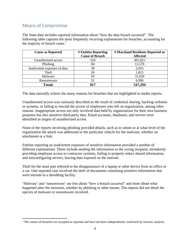### <span id="page-5-0"></span>Means of Compromise

The State data includes reported information about "how the data breach occurred". The following table captures the most frequently recurring explanations for breaches, accounting for the majority of breach cases.<sup>7</sup>

| <b>Cause as Reported</b>     | <b># Entities Reporting</b><br><b>Cause of Breach</b> | # Maryland Residents Reported as<br><b>Affected</b> |
|------------------------------|-------------------------------------------------------|-----------------------------------------------------|
| Unauthorized access          | 524                                                   | 491,821                                             |
| Phishing                     | 84                                                    | 13,578                                              |
| Inadvertent exposure of data | 39                                                    | 2,055                                               |
| Theft                        | 26                                                    | 1,815                                               |
| Malware                      | 93                                                    | 31,029                                              |
| Ransomware                   | 51                                                    | 6,996                                               |
| <b>Totals</b>                | 817                                                   | 547,294                                             |

The data naturally echoes the many reasons for breaches that are highlighted in media reports.

Unauthorized access was variously described as the result of credential sharing, hacking websites or systems, or failing to rescind the access of employees who left an organization, among other reasons. Inappropriate access not only involved data held by organizations for their own business purposes but also sensitive third-party data. Email accounts, databases, and servers were identified as targets of unauthorized access.

None of the reports involving phishing provided details, such as to whom or at what level of the organization the attack was addressed or the particular vehicle for the malware, whether an attachment or a link.

Entities reporting an inadvertent exposure of sensitive information provided a number of different explanations. These include sending the information to the wrong recipient, mistakenly providing employee access to contractor systems, failing to properly redact shared information, and misconfiguring servers, leaving data exposed on the internet.

Theft for the most part referred to the disappearance of a laptop or other device from an office or a car. One reported case involved the theft of documents containing sensitive information that were enroute to a shredding facility.

'Malware' and 'ransomware' are less about "how a breach occurred" and more about what happened after the intrusion, whether by phishing or other means. The reports did not detail the species of malware or ransomware involved.

 $<sup>7</sup>$  The causes of breaches are accepted as reported and have not been independently confirmed by forensic analysis.</sup>